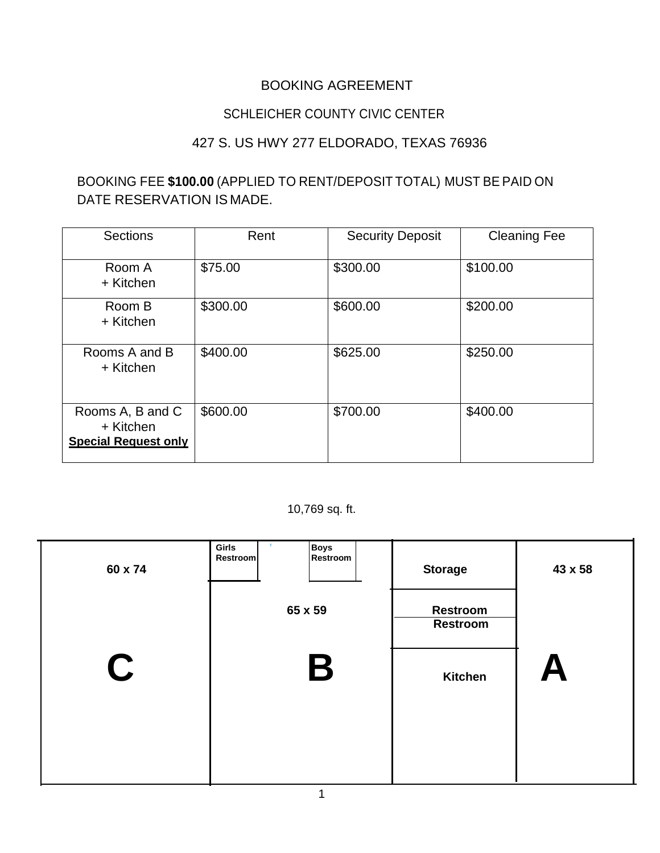## BOOKING AGREEMENT

## SCHLEICHER COUNTY CIVIC CENTER

## 427 S. US HWY 277 ELDORADO, TEXAS 76936

## BOOKING FEE **\$100.00** (APPLIED TO RENT/DEPOSIT TOTAL) MUST BE PAID ON DATE RESERVATION IS MADE.

| <b>Sections</b>                                              | Rent     | <b>Security Deposit</b> | <b>Cleaning Fee</b> |
|--------------------------------------------------------------|----------|-------------------------|---------------------|
| Room A<br>+ Kitchen                                          | \$75.00  | \$300.00                | \$100.00            |
| Room B<br>+ Kitchen                                          | \$300.00 | \$600.00                | \$200.00            |
| Rooms A and B<br>+ Kitchen                                   | \$400.00 | \$625.00                | \$250.00            |
| Rooms A, B and C<br>+ Kitchen<br><b>Special Request only</b> | \$600.00 | \$700.00                | \$400.00            |

#### 10,769 sq. ft.

| 60 x 74 | Boys<br>Girls<br>Restroom<br><b>Restroom</b> | <b>Storage</b>                     | 43 x 58                   |
|---------|----------------------------------------------|------------------------------------|---------------------------|
|         | 65 x 59                                      | <b>Restroom</b><br><b>Restroom</b> |                           |
| C       | B                                            | <b>Kitchen</b>                     | $\boldsymbol{\mathsf{A}}$ |
|         |                                              |                                    |                           |
|         |                                              |                                    |                           |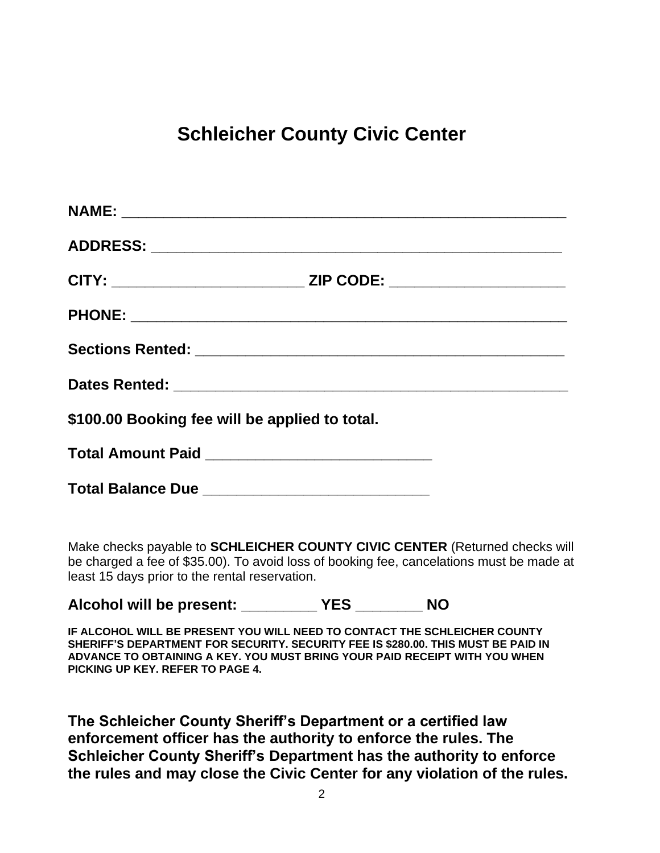# **Schleicher County Civic Center**

|                                                   | CITY: ___________________________________ ZIP CODE: ____________________________ |
|---------------------------------------------------|----------------------------------------------------------------------------------|
|                                                   |                                                                                  |
|                                                   |                                                                                  |
|                                                   |                                                                                  |
| \$100.00 Booking fee will be applied to total.    |                                                                                  |
| Total Amount Paid _______________________________ |                                                                                  |
|                                                   |                                                                                  |

Make checks payable to **SCHLEICHER COUNTY CIVIC CENTER** (Returned checks will be charged a fee of \$35.00). To avoid loss of booking fee, cancelations must be made at least 15 days prior to the rental reservation.

**Alcohol will be present: \_\_\_\_\_\_\_\_\_ YES \_\_\_\_\_\_\_\_ NO**

**IF ALCOHOL WILL BE PRESENT YOU WILL NEED TO CONTACT THE SCHLEICHER COUNTY SHERIFF'S DEPARTMENT FOR SECURITY. SECURITY FEE IS \$280.00. THIS MUST BE PAID IN ADVANCE TO OBTAINING A KEY. YOU MUST BRING YOUR PAID RECEIPT WITH YOU WHEN PICKING UP KEY. REFER TO PAGE 4.** 

**The Schleicher County Sheriff's Department or a certified law enforcement officer has the authority to enforce the rules. The Schleicher County Sheriff's Department has the authority to enforce the rules and may close the Civic Center for any violation of the rules.**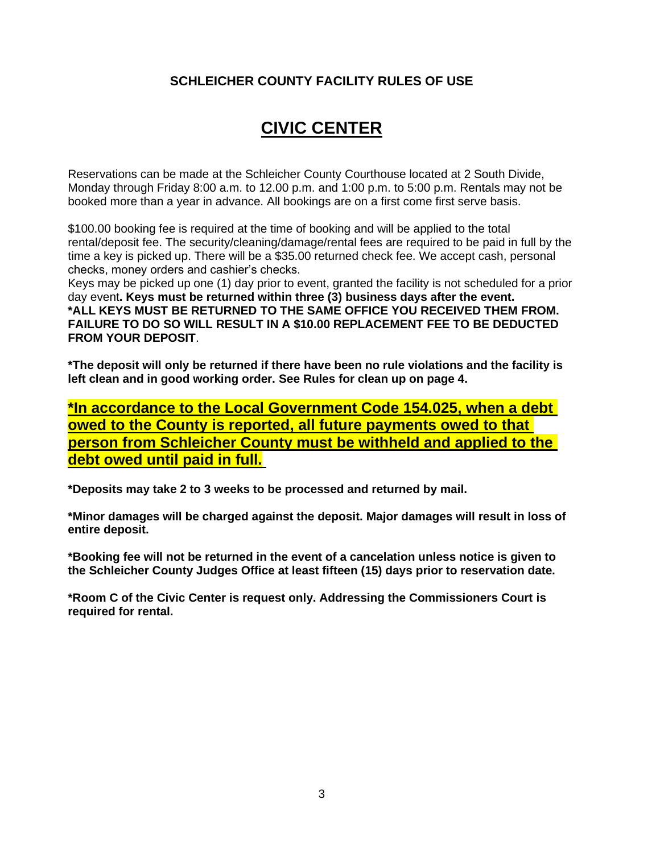#### **SCHLEICHER COUNTY FACILITY RULES OF USE**

# **CIVIC CENTER**

Reservations can be made at the Schleicher County Courthouse located at 2 South Divide, Monday through Friday 8:00 a.m. to 12.00 p.m. and 1:00 p.m. to 5:00 p.m. Rentals may not be booked more than a year in advance. All bookings are on a first come first serve basis.

\$100.00 booking fee is required at the time of booking and will be applied to the total rental/deposit fee. The security/cleaning/damage/rental fees are required to be paid in full by the time a key is picked up. There will be a \$35.00 returned check fee. We accept cash, personal checks, money orders and cashier's checks.

Keys may be picked up one (1) day prior to event, granted the facility is not scheduled for a prior day event**. Keys must be returned within three (3) business days after the event. \*ALL KEYS MUST BE RETURNED TO THE SAME OFFICE YOU RECEIVED THEM FROM. FAILURE TO DO SO WILL RESULT IN A \$10.00 REPLACEMENT FEE TO BE DEDUCTED FROM YOUR DEPOSIT**.

**\*The deposit will only be returned if there have been no rule violations and the facility is left clean and in good working order. See Rules for clean up on page 4.** 

**\*In accordance to the Local Government Code 154.025, when a debt owed to the County is reported, all future payments owed to that person from Schleicher County must be withheld and applied to the debt owed until paid in full.**

**\*Deposits may take 2 to 3 weeks to be processed and returned by mail.**

**\*Minor damages will be charged against the deposit. Major damages will result in loss of entire deposit.** 

**\*Booking fee will not be returned in the event of a cancelation unless notice is given to the Schleicher County Judges Office at least fifteen (15) days prior to reservation date.** 

**\*Room C of the Civic Center is request only. Addressing the Commissioners Court is required for rental.**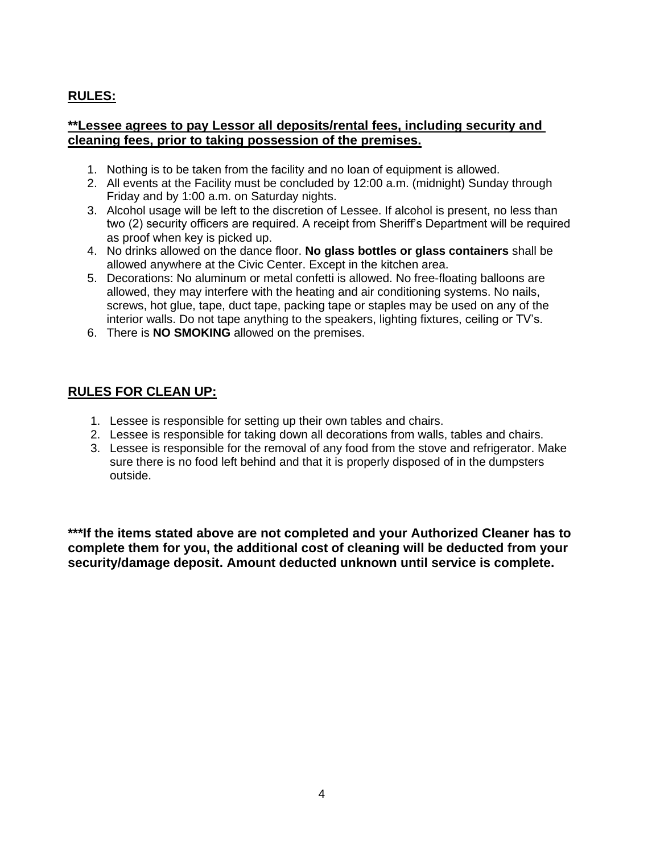### **RULES:**

#### **\*\*Lessee agrees to pay Lessor all deposits/rental fees, including security and cleaning fees, prior to taking possession of the premises.**

- 1. Nothing is to be taken from the facility and no loan of equipment is allowed.
- 2. All events at the Facility must be concluded by 12:00 a.m. (midnight) Sunday through Friday and by 1:00 a.m. on Saturday nights.
- 3. Alcohol usage will be left to the discretion of Lessee. If alcohol is present, no less than two (2) security officers are required. A receipt from Sheriff's Department will be required as proof when key is picked up.
- 4. No drinks allowed on the dance floor. **No glass bottles or glass containers** shall be allowed anywhere at the Civic Center. Except in the kitchen area.
- 5. Decorations: No aluminum or metal confetti is allowed. No free-floating balloons are allowed, they may interfere with the heating and air conditioning systems. No nails, screws, hot glue, tape, duct tape, packing tape or staples may be used on any of the interior walls. Do not tape anything to the speakers, lighting fixtures, ceiling or TV's.
- 6. There is **NO SMOKING** allowed on the premises.

#### **RULES FOR CLEAN UP:**

- 1. Lessee is responsible for setting up their own tables and chairs.
- 2. Lessee is responsible for taking down all decorations from walls, tables and chairs.
- 3. Lessee is responsible for the removal of any food from the stove and refrigerator. Make sure there is no food left behind and that it is properly disposed of in the dumpsters outside.

**\*\*\*If the items stated above are not completed and your Authorized Cleaner has to complete them for you, the additional cost of cleaning will be deducted from your security/damage deposit. Amount deducted unknown until service is complete.**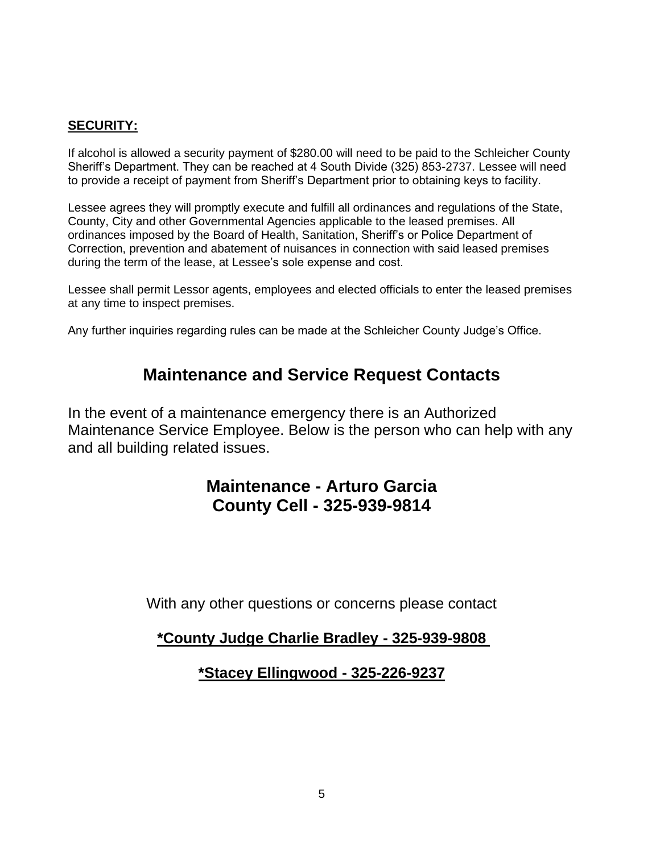#### **SECURITY:**

If alcohol is allowed a security payment of \$280.00 will need to be paid to the Schleicher County Sheriff's Department. They can be reached at 4 South Divide (325) 853-2737. Lessee will need to provide a receipt of payment from Sheriff's Department prior to obtaining keys to facility.

Lessee agrees they will promptly execute and fulfill all ordinances and regulations of the State, County, City and other Governmental Agencies applicable to the leased premises. All ordinances imposed by the Board of Health, Sanitation, Sheriff's or Police Department of Correction, prevention and abatement of nuisances in connection with said leased premises during the term of the lease, at Lessee's sole expense and cost.

Lessee shall permit Lessor agents, employees and elected officials to enter the leased premises at any time to inspect premises.

Any further inquiries regarding rules can be made at the Schleicher County Judge's Office.

# **Maintenance and Service Request Contacts**

In the event of a maintenance emergency there is an Authorized Maintenance Service Employee. Below is the person who can help with any and all building related issues.

# **Maintenance - Arturo Garcia County Cell - 325-939-9814**

With any other questions or concerns please contact

### **\*County Judge Charlie Bradley - 325-939-9808**

**\*Stacey Ellingwood - 325-226-9237**